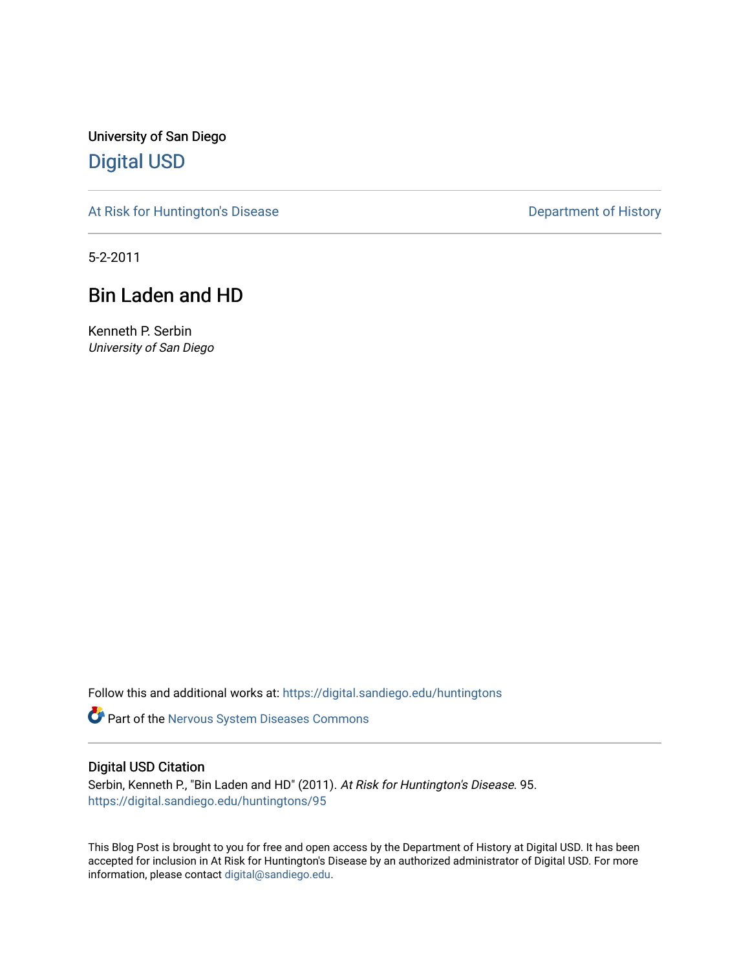University of San Diego [Digital USD](https://digital.sandiego.edu/)

[At Risk for Huntington's Disease](https://digital.sandiego.edu/huntingtons) **Department of History** Department of History

5-2-2011

# Bin Laden and HD

Kenneth P. Serbin University of San Diego

Follow this and additional works at: [https://digital.sandiego.edu/huntingtons](https://digital.sandiego.edu/huntingtons?utm_source=digital.sandiego.edu%2Fhuntingtons%2F95&utm_medium=PDF&utm_campaign=PDFCoverPages)

Part of the [Nervous System Diseases Commons](http://network.bepress.com/hgg/discipline/928?utm_source=digital.sandiego.edu%2Fhuntingtons%2F95&utm_medium=PDF&utm_campaign=PDFCoverPages)

# Digital USD Citation

Serbin, Kenneth P., "Bin Laden and HD" (2011). At Risk for Huntington's Disease. 95. [https://digital.sandiego.edu/huntingtons/95](https://digital.sandiego.edu/huntingtons/95?utm_source=digital.sandiego.edu%2Fhuntingtons%2F95&utm_medium=PDF&utm_campaign=PDFCoverPages)

This Blog Post is brought to you for free and open access by the Department of History at Digital USD. It has been accepted for inclusion in At Risk for Huntington's Disease by an authorized administrator of Digital USD. For more information, please contact [digital@sandiego.edu.](mailto:digital@sandiego.edu)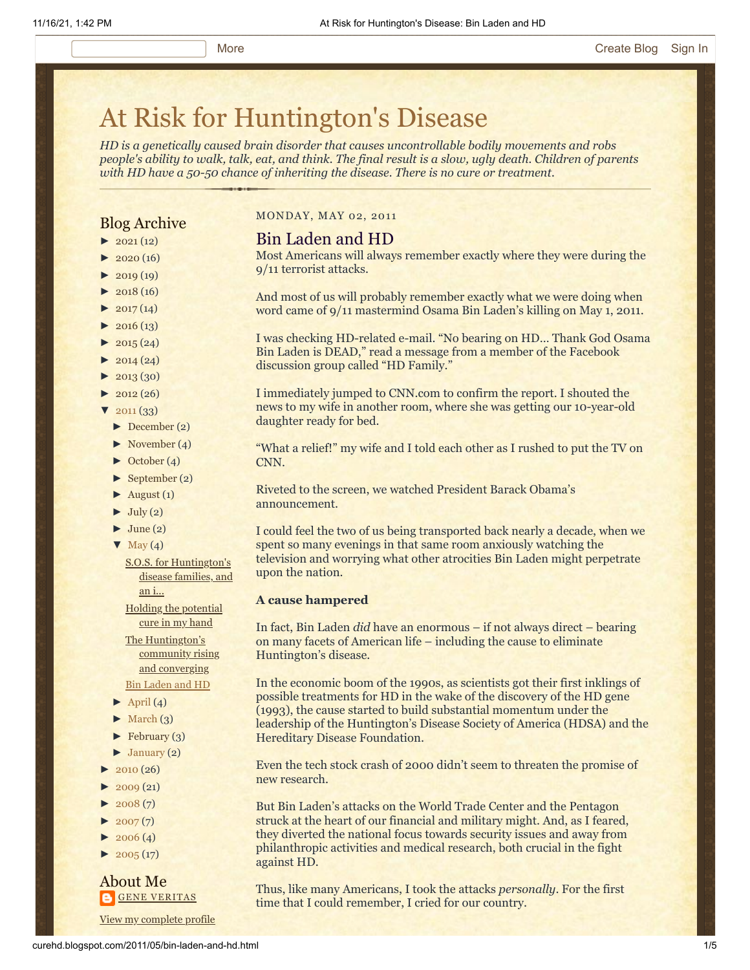# [At Risk for Huntington's Disease](http://curehd.blogspot.com/)

*HD is a genetically caused brain disorder that causes uncontrollable bodily movements and robs people's ability to walk, talk, eat, and think. The final result is a slow, ugly death. Children of parents with HD have a 50-50 chance of inheriting the disease. There is no cure or treatment.*

# Blog Archive

- $\blacktriangleright$  [2021](http://curehd.blogspot.com/2021/)(12)
- $\blacktriangleright$  [2020](http://curehd.blogspot.com/2020/) (16)
- $\blacktriangleright$  [2019](http://curehd.blogspot.com/2019/) (19)
- $\blacktriangleright$  [2018](http://curehd.blogspot.com/2018/) (16)
- $\blacktriangleright$  [2017](http://curehd.blogspot.com/2017/)(14)
- $\blacktriangleright$  [2016](http://curehd.blogspot.com/2016/) (13)
- $\blacktriangleright$  [2015](http://curehd.blogspot.com/2015/) (24)
- $\blacktriangleright$  [2014](http://curehd.blogspot.com/2014/) (24)
- $\blacktriangleright$  [2013](http://curehd.blogspot.com/2013/) (30)
- $\blacktriangleright$  [2012](http://curehd.blogspot.com/2012/) (26)
- $\sqrt{2011(33)}$  $\sqrt{2011(33)}$  $\sqrt{2011(33)}$ 
	- [►](javascript:void(0)) [December](http://curehd.blogspot.com/2011/12/) (2)
	- [►](javascript:void(0)) [November](http://curehd.blogspot.com/2011/11/) (4)
	- [►](javascript:void(0)) [October](http://curehd.blogspot.com/2011/10/) (4)
	- $\blacktriangleright$  [September](http://curehd.blogspot.com/2011/09/) (2)
	- $\blacktriangleright$  [August](http://curehd.blogspot.com/2011/08/) (1)
	- $\blacktriangleright$  [July](http://curehd.blogspot.com/2011/07/) (2)
	- $\blacktriangleright$  [June](http://curehd.blogspot.com/2011/06/) (2)
	- $\nabla$  [May](http://curehd.blogspot.com/2011/05/) (4)
		- S.O.S. for [Huntington's](http://curehd.blogspot.com/2011/05/sos-for-huntingtons-disease-families.html) disease families, and an i...

Holding the [potential](http://curehd.blogspot.com/2011/05/holding-potential-cure-in-my-hand.html) cure in my hand

The [Huntington's](http://curehd.blogspot.com/2011/05/huntingtons-community-rising-and.html) community rising and converging Bin [Laden](http://curehd.blogspot.com/2011/05/bin-laden-and-hd.html) and HD

- $\blacktriangleright$  [April](http://curehd.blogspot.com/2011/04/) (4)
- $\blacktriangleright$  [March](http://curehd.blogspot.com/2011/03/)  $(3)$
- $\blacktriangleright$  [February](http://curehd.blogspot.com/2011/02/) (3)
- $\blacktriangleright$  [January](http://curehd.blogspot.com/2011/01/) (2)
- $2010(26)$  $2010(26)$
- $2009(21)$  $2009(21)$
- $2008(7)$  $2008(7)$
- $\blacktriangleright$  [2007](http://curehd.blogspot.com/2007/) $(7)$
- $\blacktriangleright$  [2006](http://curehd.blogspot.com/2006/) (4)
- $\blacktriangleright$  [2005](http://curehd.blogspot.com/2005/) (17)

#### About Me **GENE [VERITAS](https://www.blogger.com/profile/10911736205741688185)**

MONDAY, MAY 02, 2011

#### Bin Laden and HD

Most Americans will always remember exactly where they were during the 9/11 terrorist attacks.

And most of us will probably remember exactly what we were doing when word came of 9/11 mastermind Osama Bin Laden's killing on May 1, 2011.

I was checking HD-related e-mail. "No bearing on HD… Thank God Osama Bin Laden is DEAD," read a message from a member of the Facebook

I immediately jumped to CNN.com to confirm the report. I shouted the news to my wife in another room, where she was getting our 10-year-old daughter ready for bed.

"What a relief!" my wife and I told each other as I rushed to put the TV on CNN.

Riveted to the screen, we watched President Barack Obama's announcement.

I could feel the two of us being transported back nearly a decade, when we spent so many evenings in that same room anxiously watching the television and worrying what other atrocities Bin Laden might perpetrate upon the nation.

#### **A cause hampered**

In fact, Bin Laden *did* have an enormous – if not always direct – bearing on many facets of American life – including the cause to eliminate Huntington's disease.

In the economic boom of the 1990s, as scientists got their first inklings of possible treatments for HD in the wake of the discovery of the HD gene (1993), the cause started to build substantial momentum under the leadership of the Huntington's Disease Society of America (HDSA) and the Hereditary Disease Foundation.

Even the tech stock crash of 2000 didn't seem to threaten the promise of new research.

But Bin Laden's attacks on the World Trade Center and the Pentagon struck at the heart of our financial and military might. And, as I feared, they diverted the national focus towards security issues and away from philanthropic activities and medical research, both crucial in the fight against HD.

Thus, like many Americans, I took the attacks *personally*. For the first time that I could remember, I cried for our country.

curehd.blogspot.com/2011/05/bin-laden-and-hd.html 1/5 View my [complete](https://www.blogger.com/profile/10911736205741688185) profile

discussion group called "HD Family."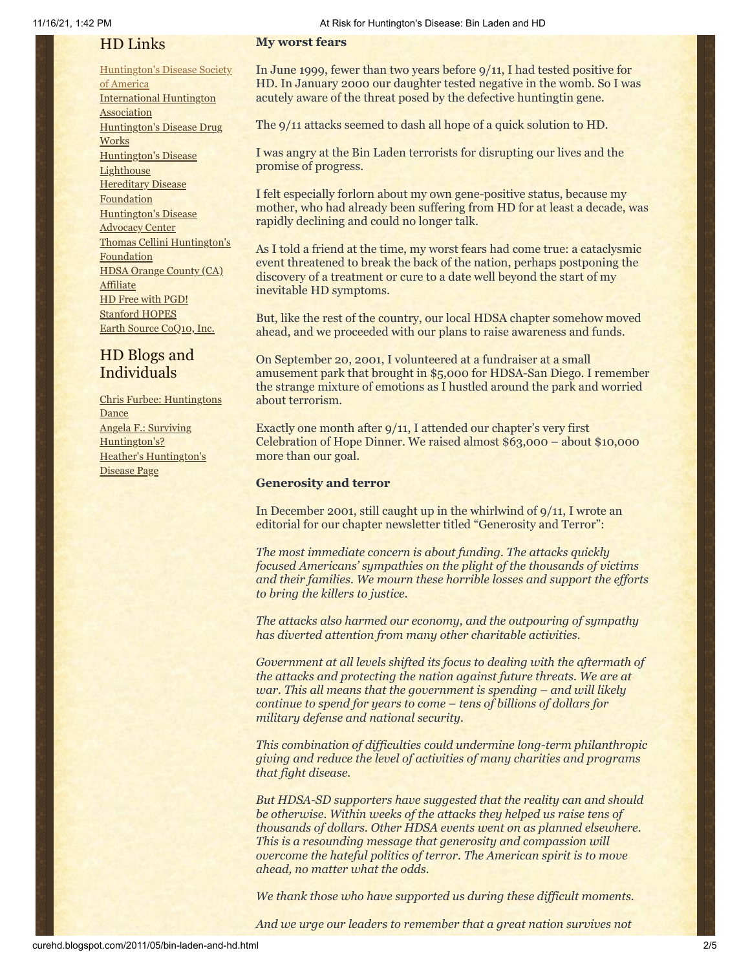# HD Links

# [Huntington's](http://www.hdsa.org/) Disease Society

of America [International](http://www.huntington-assoc.com/) Huntington **Association** [Huntington's](http://hddrugworks.org/) Disease Drug **Works** [Huntington's](http://www.hdlighthouse.org/) Disease **Lighthouse Hereditary Disease [Foundation](http://www.hdfoundation.org/)** [Huntington's](http://www.hdac.org/) Disease Advocacy Center Thomas [Cellini Huntington's](http://www.ourtchfoundation.org/) **Foundation** HDSA Orange County (CA) **[Affiliate](http://www.hdsaoc.org/)** HD Free with [PGD!](http://www.hdfreewithpgd.com/) [Stanford](http://www.stanford.edu/group/hopes/) HOPES Earth Source [CoQ10,](http://www.escoq10.com/) Inc.

# HD Blogs and Individuals

Chris Furbee: [Huntingtons](http://www.huntingtonsdance.org/) Dance Angela F.: Surviving [Huntington's?](http://survivinghuntingtons.blogspot.com/) Heather's [Huntington's](http://heatherdugdale.angelfire.com/) Disease Page

#### **My worst fears**

In June 1999, fewer than two years before 9/11, I had tested positive for HD. In January 2000 our daughter tested negative in the womb. So I was acutely aware of the threat posed by the defective huntingtin gene.

The 9/11 attacks seemed to dash all hope of a quick solution to HD.

I was angry at the Bin Laden terrorists for disrupting our lives and the promise of progress.

I felt especially forlorn about my own gene-positive status, because my mother, who had already been suffering from HD for at least a decade, was rapidly declining and could no longer talk.

As I told a friend at the time, my worst fears had come true: a cataclysmic event threatened to break the back of the nation, perhaps postponing the discovery of a treatment or cure to a date well beyond the start of my inevitable HD symptoms.

But, like the rest of the country, our local HDSA chapter somehow moved ahead, and we proceeded with our plans to raise awareness and funds.

On September 20, 2001, I volunteered at a fundraiser at a small amusement park that brought in \$5,000 for HDSA-San Diego. I remember the strange mixture of emotions as I hustled around the park and worried about terrorism.

Exactly one month after 9/11, I attended our chapter's very first Celebration of Hope Dinner. We raised almost \$63,000 – about \$10,000 more than our goal.

#### **Generosity and terror**

In December 2001, still caught up in the whirlwind of 9/11, I wrote an editorial for our chapter newsletter titled "Generosity and Terror":

*The most immediate concern is about funding. The attacks quickly focused Americans' sympathies on the plight of the thousands of victims and their families. We mourn these horrible losses and support the efforts to bring the killers to justice.*

*The attacks also harmed our economy, and the outpouring of sympathy has diverted attention from many other charitable activities.*

*Government at all levels shifted its focus to dealing with the aftermath of the attacks and protecting the nation against future threats. We are at war. This all means that the government is spending – and will likely continue to spend for years to come – tens of billions of dollars for military defense and national security.*

*This combination of difficulties could undermine long-term philanthropic giving and reduce the level of activities of many charities and programs that fight disease.*

*But HDSA-SD supporters have suggested that the reality can and should be otherwise. Within weeks of the attacks they helped us raise tens of thousands of dollars. Other HDSA events went on as planned elsewhere. This is a resounding message that generosity and compassion will overcome the hateful politics of terror. The American spirit is to move ahead, no matter what the odds.*

*We thank those who have supported us during these difficult moments.*

*And we urge our leaders to remember that a great nation survives not*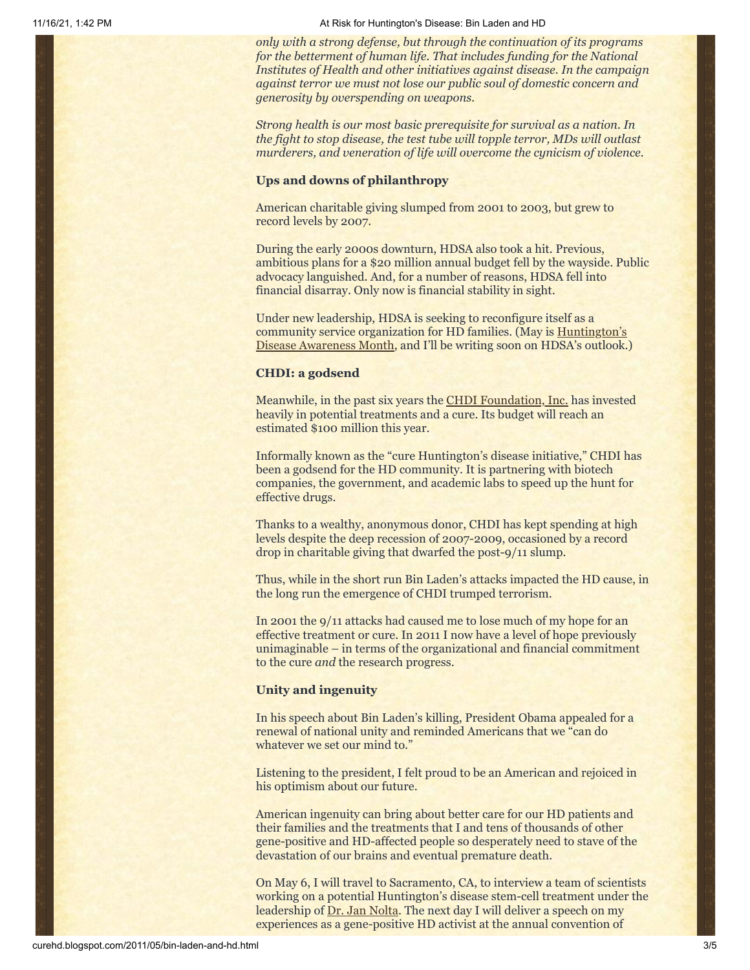11/16/21, 1:42 PM At Risk for Huntington's Disease: Bin Laden and HD

*only with a strong defense, but through the continuation of its programs for the betterment of human life. That includes funding for the National Institutes of Health and other initiatives against disease. In the campaign against terror we must not lose our public soul of domestic concern and generosity by overspending on weapons.*

*Strong health is our most basic prerequisite for survival as a nation. In the fight to stop disease, the test tube will topple terror, MDs will outlast murderers, and veneration of life will overcome the cynicism of violence.*

#### **Ups and downs of philanthropy**

American charitable giving slumped from 2001 to 2003, but grew to record levels by 2007.

During the early 2000s downturn, HDSA also took a hit. Previous, ambitious plans for a \$20 million annual budget fell by the wayside. Public advocacy languished. And, for a number of reasons, HDSA fell into financial disarray. Only now is financial stability in sight.

Under new leadership, HDSA is seeking to reconfigure itself as a community service organization for HD families. (May is Huntington's [Disease Awareness Month, and I'll be writing soon on HDSA's outlook.](http://www.hdsa.org/index/hd-awareness-month-2011.html))

#### **CHDI: a godsend**

Meanwhile, in the past six years the [CHDI Foundation, Inc.](http://www.chdifoundation.org/) has invested heavily in potential treatments and a cure. Its budget will reach an estimated \$100 million this year.

Informally known as the "cure Huntington's disease initiative," CHDI has been a godsend for the HD community. It is partnering with biotech companies, the government, and academic labs to speed up the hunt for effective drugs.

Thanks to a wealthy, anonymous donor, CHDI has kept spending at high levels despite the deep recession of 2007-2009, occasioned by a record drop in charitable giving that dwarfed the post-9/11 slump.

Thus, while in the short run Bin Laden's attacks impacted the HD cause, in the long run the emergence of CHDI trumped terrorism.

In 2001 the 9/11 attacks had caused me to lose much of my hope for an effective treatment or cure. In 2011 I now have a level of hope previously unimaginable – in terms of the organizational and financial commitment to the cure *and* the research progress.

#### **Unity and ingenuity**

In his speech about Bin Laden's killing, President Obama appealed for a renewal of national unity and reminded Americans that we "can do whatever we set our mind to."

Listening to the president, I felt proud to be an American and rejoiced in his optimism about our future.

American ingenuity can bring about better care for our HD patients and their families and the treatments that I and tens of thousands of other gene-positive and HD-affected people so desperately need to stave of the devastation of our brains and eventual premature death.

On May 6, I will travel to Sacramento, CA, to interview a team of scientists working on a potential Huntington's disease stem-cell treatment under the leadership of <u>[Dr. Jan Nolta](http://jannolta.com/)</u>. The next day I will deliver a speech on my experiences as a gene-positive HD activist at the annual convention of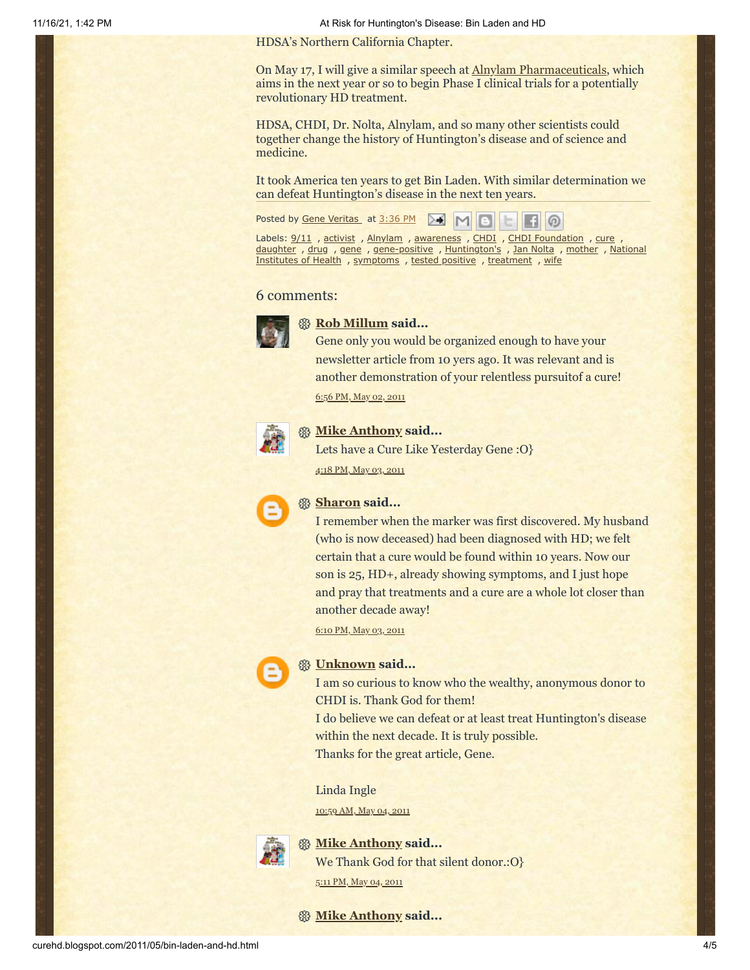11/16/21, 1:42 PM At Risk for Huntington's Disease: Bin Laden and HD

HDSA's Northern California Chapter.

On May 17, I will give a similar speech at [Alnylam Pharmaceuticals](http://www.alnylam.com/), which aims in the next year or so to begin Phase I clinical trials for a potentially revolutionary HD treatment.

HDSA, CHDI, Dr. Nolta, Alnylam, and so many other scientists could together change the history of Huntington's disease and of science and medicine.

It took America ten years to get Bin Laden. With similar determination we can defeat Huntington's disease in the next ten years.

Posted by Gene [Veritas](https://www.blogger.com/profile/03599828959793084715) at [3:36](http://curehd.blogspot.com/2011/05/bin-laden-and-hd.html) PM  $\boxed{M}$   $\boxed{6}$ 

Labels: [9/11](http://curehd.blogspot.com/search/label/9%2F11), [activist](http://curehd.blogspot.com/search/label/activist), [Alnylam](http://curehd.blogspot.com/search/label/Alnylam), [awareness](http://curehd.blogspot.com/search/label/awareness), [CHDI](http://curehd.blogspot.com/search/label/CHDI), CHDI [Foundation](http://curehd.blogspot.com/search/label/CHDI%20Foundation), [cure](http://curehd.blogspot.com/search/label/cure), [daughter](http://curehd.blogspot.com/search/label/daughter) , [drug](http://curehd.blogspot.com/search/label/drug) , [gene](http://curehd.blogspot.com/search/label/gene) , [gene-positive](http://curehd.blogspot.com/search/label/National%20Institutes%20of%20Health) , [Huntington's](http://curehd.blogspot.com/search/label/Huntington%27s) , Jan [Nolta](http://curehd.blogspot.com/search/label/Jan%20Nolta) , [mother](http://curehd.blogspot.com/search/label/mother) , National Institutes of Health , [symptoms](http://curehd.blogspot.com/search/label/symptoms) , tested [positive](http://curehd.blogspot.com/search/label/tested%20positive) , [treatment](http://curehd.blogspot.com/search/label/treatment) , [wife](http://curehd.blogspot.com/search/label/wife)

 $\Box$   $\odot$ 

#### 6 comments:



#### **[Rob Millum](https://www.blogger.com/profile/06037459948670784448) said...**

Gene only you would be organized enough to have your newsletter article from 10 yers ago. It was relevant and is another demonstration of your relentless pursuitof a cure!

6:56 PM, May 02, [2011](http://curehd.blogspot.com/2011/05/bin-laden-and-hd.html?showComment=1304387782763#c5572105822549288116)



#### **[Mike Anthony](https://www.blogger.com/profile/16108777306008797477) said...**

Lets have a Cure Like Yesterday Gene :O} 4:18 PM, May 03, [2011](http://curehd.blogspot.com/2011/05/bin-laden-and-hd.html?showComment=1304464682512#c738949852212868168)



#### **[Sharon](https://www.blogger.com/profile/09723927864776050193) said...**

I remember when the marker was first discovered. My husband (who is now deceased) had been diagnosed with HD; we felt certain that a cure would be found within 10 years. Now our son is 25, HD+, already showing symptoms, and I just hope and pray that treatments and a cure are a whole lot closer than another decade away!

6:10 PM, May 03, [2011](http://curehd.blogspot.com/2011/05/bin-laden-and-hd.html?showComment=1304471432266#c8516376818373523451)

# **[Unknown](https://www.blogger.com/profile/05114092966216175642) said...**

I am so curious to know who the wealthy, anonymous donor to CHDI is. Thank God for them!

I do believe we can defeat or at least treat Huntington's disease within the next decade. It is truly possible.

Thanks for the great article, Gene.

Linda Ingle

[10:59](http://curehd.blogspot.com/2011/05/bin-laden-and-hd.html?showComment=1304531959677#c8716614163093890079) AM, May 04, 2011



## **[Mike Anthony](https://www.blogger.com/profile/16108777306008797477) said...**

We Thank God for that silent donor.:O}

5:11 PM, May 04, [2011](http://curehd.blogspot.com/2011/05/bin-laden-and-hd.html?showComment=1304554293795#c455262609946872892)

#### **[Mike Anthony](https://www.blogger.com/profile/16108777306008797477) said...**